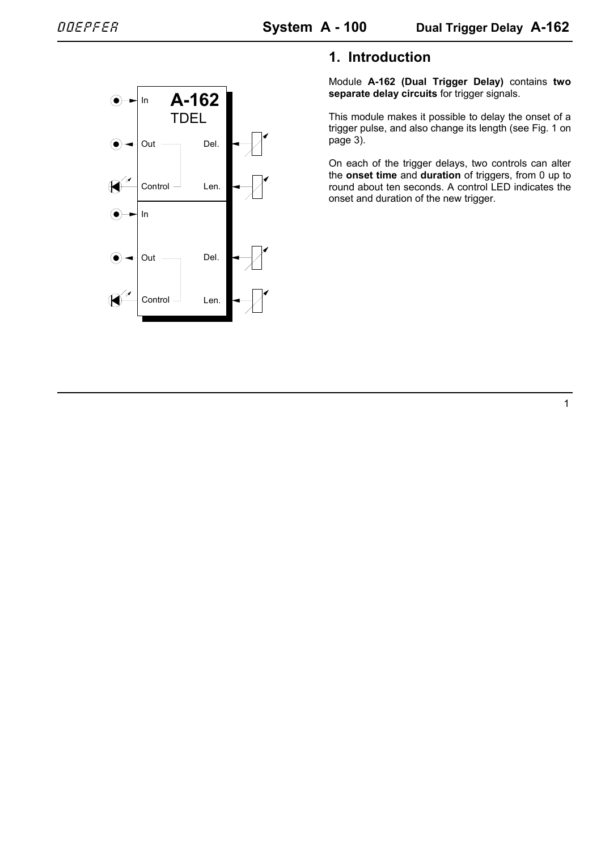

# **1. Introduction**

Module **A-162 (Dual Trigger Delay)** contains **two separate delay circuits** for trigger signals.

This module makes it possible to delay the onset of a trigger pulse, and also change its length (see Fig. 1 on page 3).

On each of the trigger delays, two controls can alter the **onset time** and **duration** of triggers, from 0 up to round about ten seconds. A control LED indicates the onset and duration of the new trigger.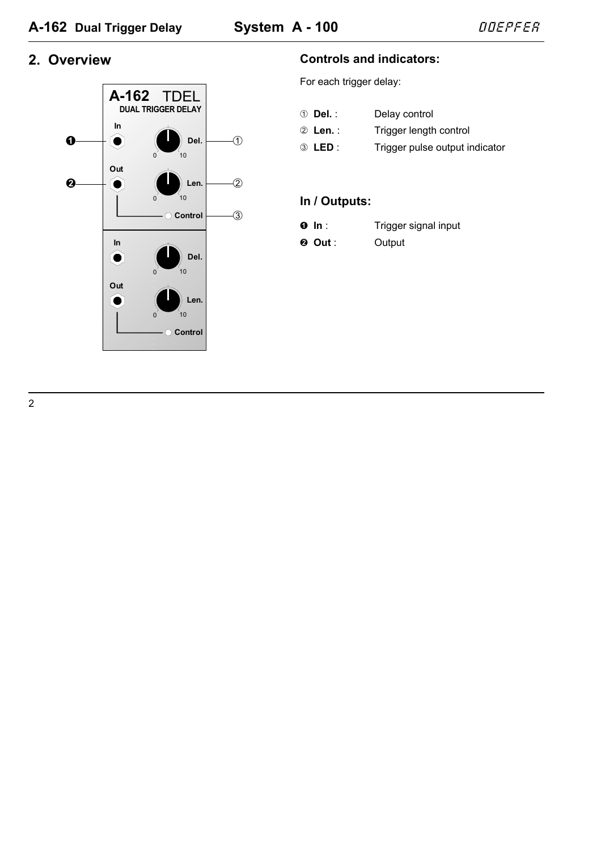## 2. Overview



### **Controls and indicators:**

For each trigger delay:

- ① **Del.**: Delay control Trigger length control 2 Len. :
- 3 LED: Trigger pulse output indicator

### In / Outputs:

- $\bullet$  In : Trigger signal input
- $Q$  Out: Output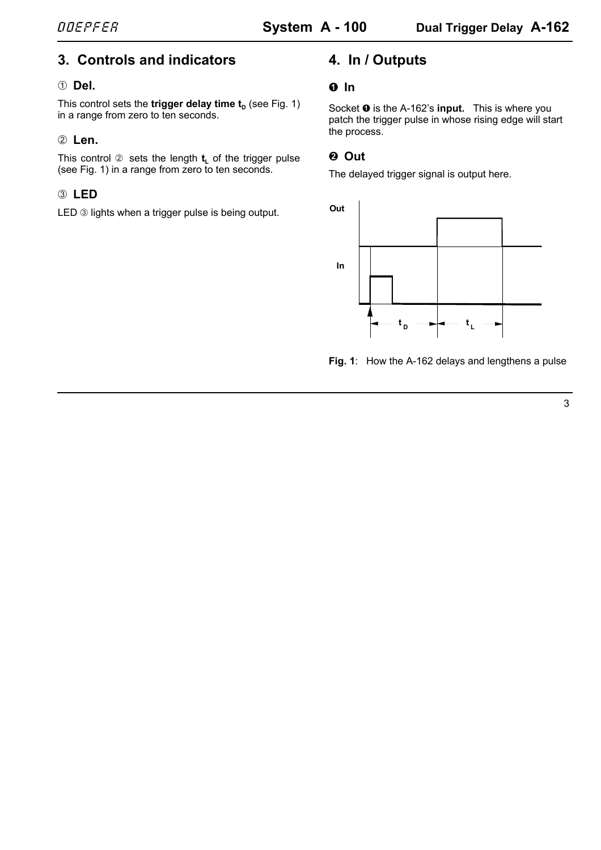# **3. Controls and indicators**

### 1 **Del.**

This control sets the **trigger delay time**  $t<sub>n</sub>$  (see Fig. 1) in a range from zero to ten seconds.

### 2 **Len.**

This control  $\oslash$  sets the length  $t_1$  of the trigger pulse (see Fig. 1) in a range from zero to ten seconds.

# 3 **LED**

LED 3 lights when a trigger pulse is being output.

# **4. In / Outputs**

### **0** In

Socket  $\bullet$  is the A-162's **input.** This is where you patch the trigger pulse in whose rising edge will start the process.

### $Q$  Out

The delayed trigger signal is output here.



**Fig. 1**: How the A-162 delays and lengthens a pulse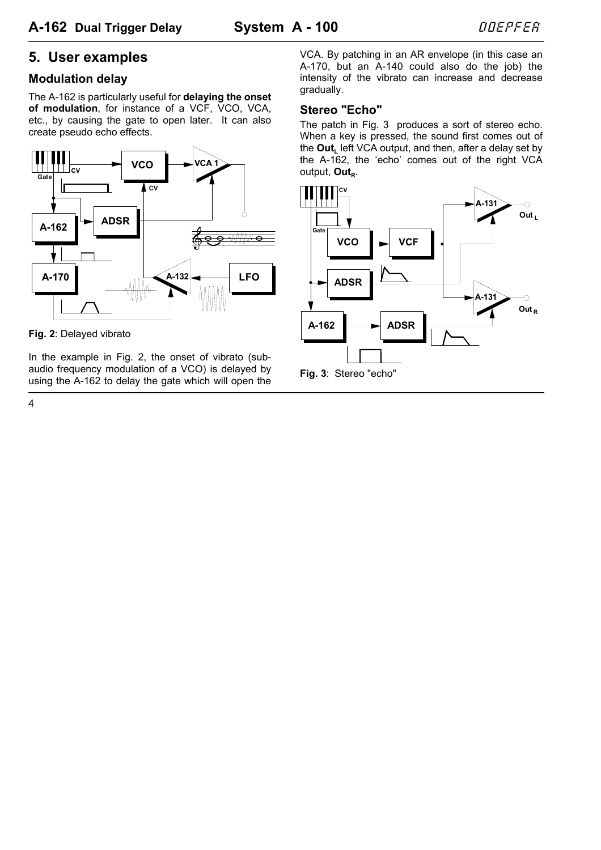# **5. User examples**

### **Modulation delay**

The A-162 is particularly useful for **delaying the onset of modulation**, for instance of a VCF, VCO, VCA, etc., by causing the gate to open later. It can also create pseudo echo effects.



**Fig. 2**: Delayed vibrato

In the example in Fig. 2, the onset of vibrato (subaudio frequency modulation of a VCO) is delayed by using the A-162 to delay the gate which will open the VCA. By patching in an AR envelope (in this case an A-170, but an A-140 could also do the job) the intensity of the vibrato can increase and decrease gradually.

#### **Stereo "Echo"**

The patch in Fig. 3 produces a sort of stereo echo. When a key is pressed, the sound first comes out of the **Out.** left VCA output, and then, after a delay set by the A-162, the 'echo' comes out of the right VCA output, Out<sub>p.</sub>